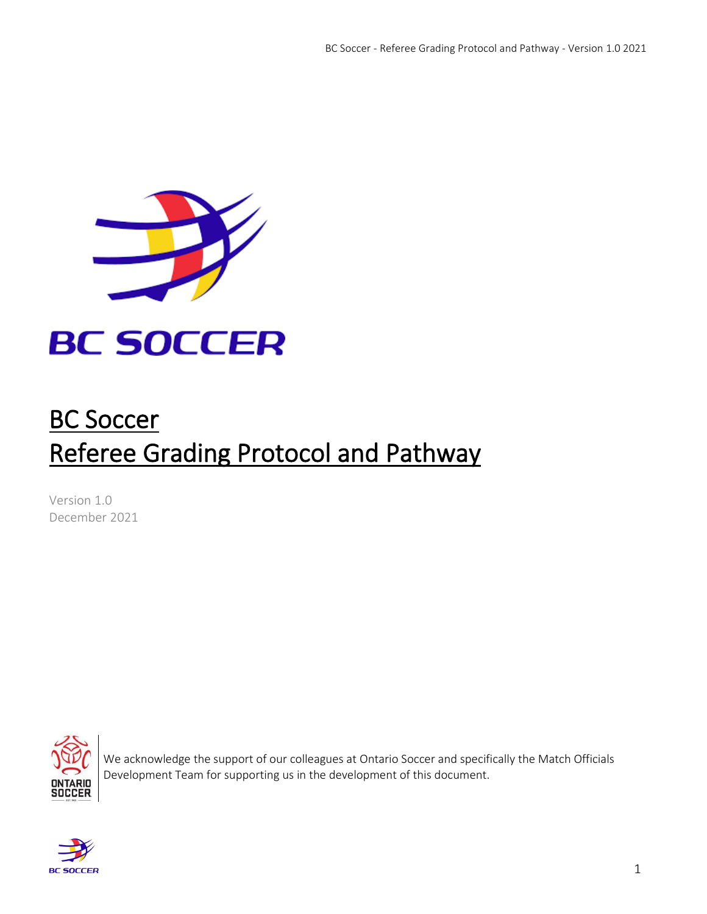

# BC Soccer Referee Grading Protocol and Pathway

Version 1.0 December 2021



We acknowledge the support of our colleagues at Ontario Soccer and specifically the Match Officials Development Team for supporting us in the development of this document.

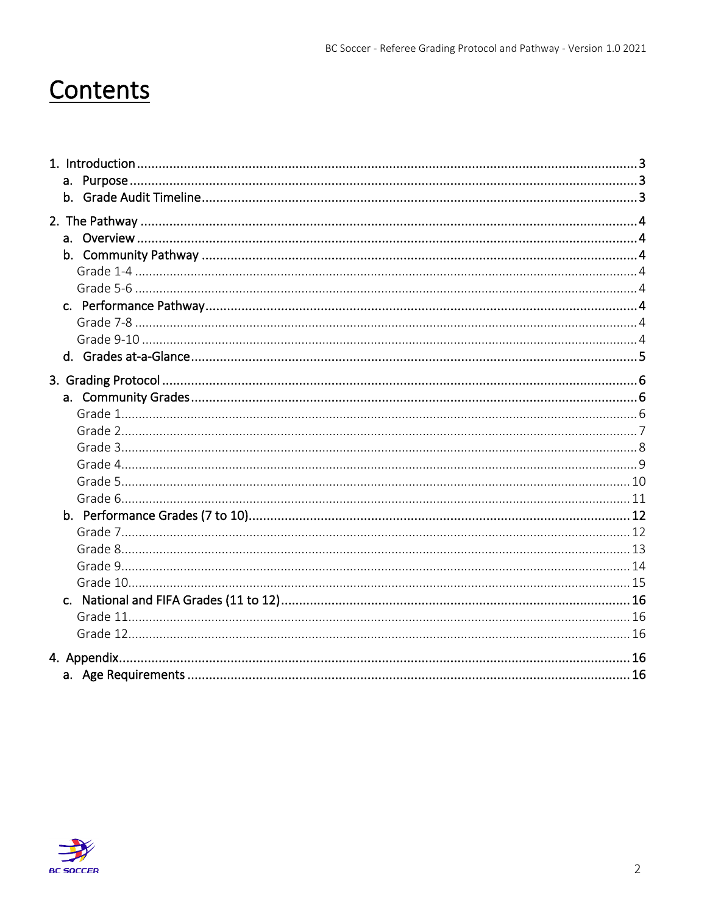# Contents

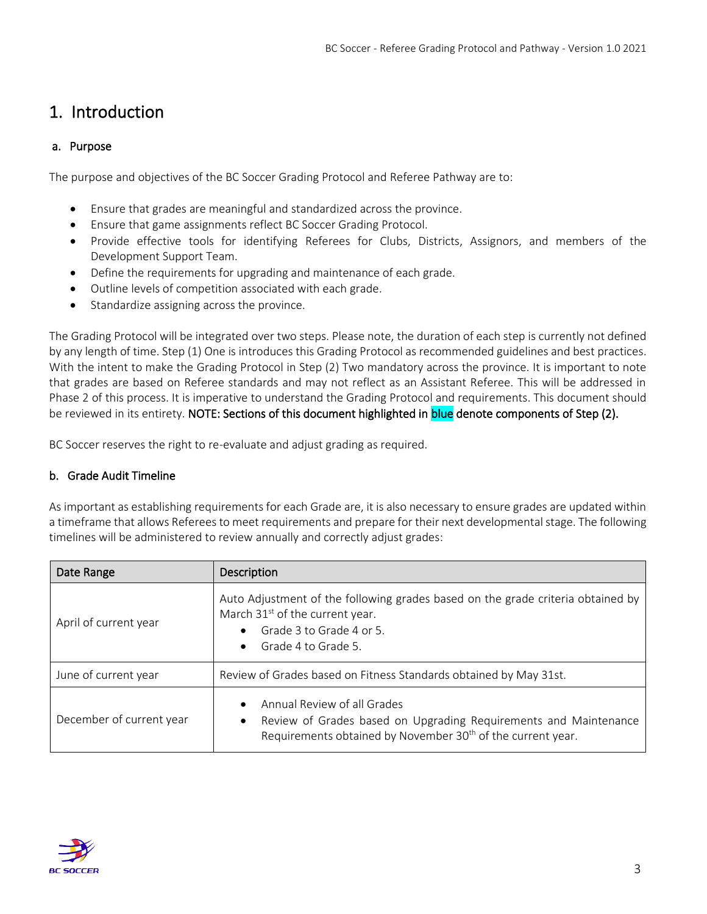# <span id="page-2-0"></span>1. Introduction

# <span id="page-2-1"></span>a. Purpose

The purpose and objectives of the BC Soccer Grading Protocol and Referee Pathway are to:

- Ensure that grades are meaningful and standardized across the province.
- Ensure that game assignments reflect BC Soccer Grading Protocol.
- Provide effective tools for identifying Referees for Clubs, Districts, Assignors, and members of the Development Support Team.
- Define the requirements for upgrading and maintenance of each grade.
- Outline levels of competition associated with each grade.
- Standardize assigning across the province.

The Grading Protocol will be integrated over two steps. Please note, the duration of each step is currently not defined by any length of time. Step (1) One is introduces this Grading Protocol as recommended guidelines and best practices. With the intent to make the Grading Protocol in Step (2) Two mandatory across the province. It is important to note that grades are based on Referee standards and may not reflect as an Assistant Referee. This will be addressed in Phase 2 of this process. It is imperative to understand the Grading Protocol and requirements. This document should be reviewed in its entirety. NOTE: Sections of this document highlighted in blue denote components of Step (2).

BC Soccer reserves the right to re-evaluate and adjust grading as required.

## <span id="page-2-2"></span>b. Grade Audit Timeline

As important as establishing requirements for each Grade are, it is also necessary to ensure grades are updated within a timeframe that allows Referees to meet requirements and prepare for their next developmental stage. The following timelines will be administered to review annually and correctly adjust grades:

| Date Range               | Description                                                                                                                                                                                                 |
|--------------------------|-------------------------------------------------------------------------------------------------------------------------------------------------------------------------------------------------------------|
| April of current year    | Auto Adjustment of the following grades based on the grade criteria obtained by<br>March 31 <sup>st</sup> of the current year.<br>Grade 3 to Grade 4 or 5.<br>$\bullet$<br>Grade 4 to Grade 5.<br>$\bullet$ |
| June of current year     | Review of Grades based on Fitness Standards obtained by May 31st.                                                                                                                                           |
| December of current year | Annual Review of all Grades<br>$\bullet$<br>Review of Grades based on Upgrading Requirements and Maintenance<br>$\bullet$<br>Requirements obtained by November 30 <sup>th</sup> of the current year.        |

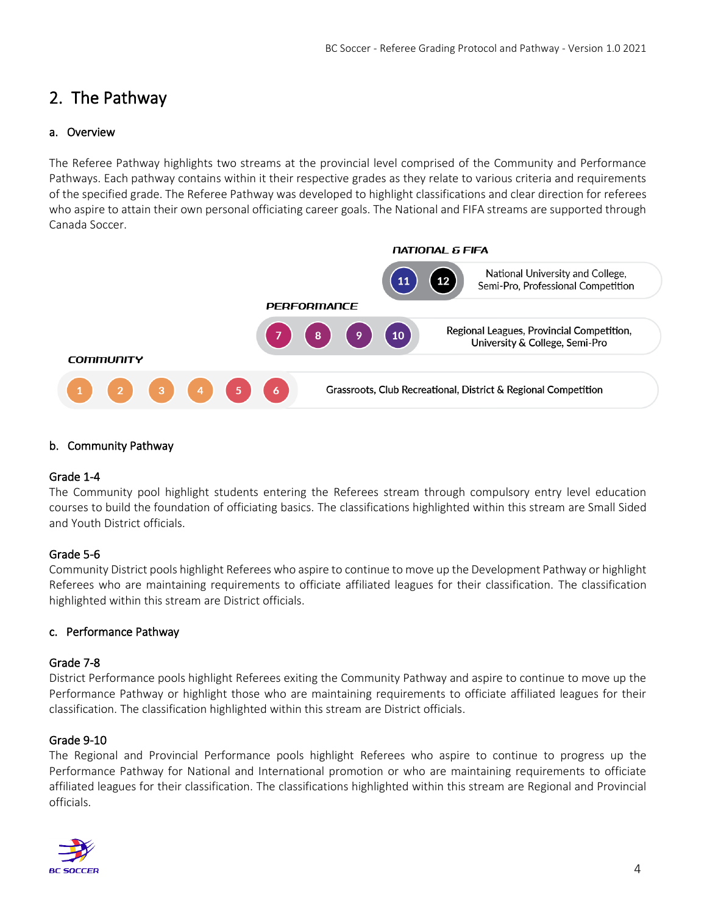# <span id="page-3-0"></span>2. The Pathway

## <span id="page-3-1"></span>a. Overview

The Referee Pathway highlights two streams at the provincial level comprised of the Community and Performance Pathways. Each pathway contains within it their respective grades as they relate to various criteria and requirements of the specified grade. The Referee Pathway was developed to highlight classifications and clear direction for referees who aspire to attain their own personal officiating career goals. The National and FIFA streams are supported through Canada Soccer.



#### <span id="page-3-2"></span>b. Community Pathway

#### <span id="page-3-3"></span>Grade 1-4

The Community pool highlight students entering the Referees stream through compulsory entry level education courses to build the foundation of officiating basics. The classifications highlighted within this stream are Small Sided and Youth District officials.

#### <span id="page-3-4"></span>Grade 5-6

Community District pools highlight Referees who aspire to continue to move up the Development Pathway or highlight Referees who are maintaining requirements to officiate affiliated leagues for their classification. The classification highlighted within this stream are District officials.

#### <span id="page-3-5"></span>c. Performance Pathway

#### <span id="page-3-6"></span>Grade 7-8

District Performance pools highlight Referees exiting the Community Pathway and aspire to continue to move up the Performance Pathway or highlight those who are maintaining requirements to officiate affiliated leagues for their classification. The classification highlighted within this stream are District officials.

#### <span id="page-3-7"></span>Grade 9-10

The Regional and Provincial Performance pools highlight Referees who aspire to continue to progress up the Performance Pathway for National and International promotion or who are maintaining requirements to officiate affiliated leagues for their classification. The classifications highlighted within this stream are Regional and Provincial officials.

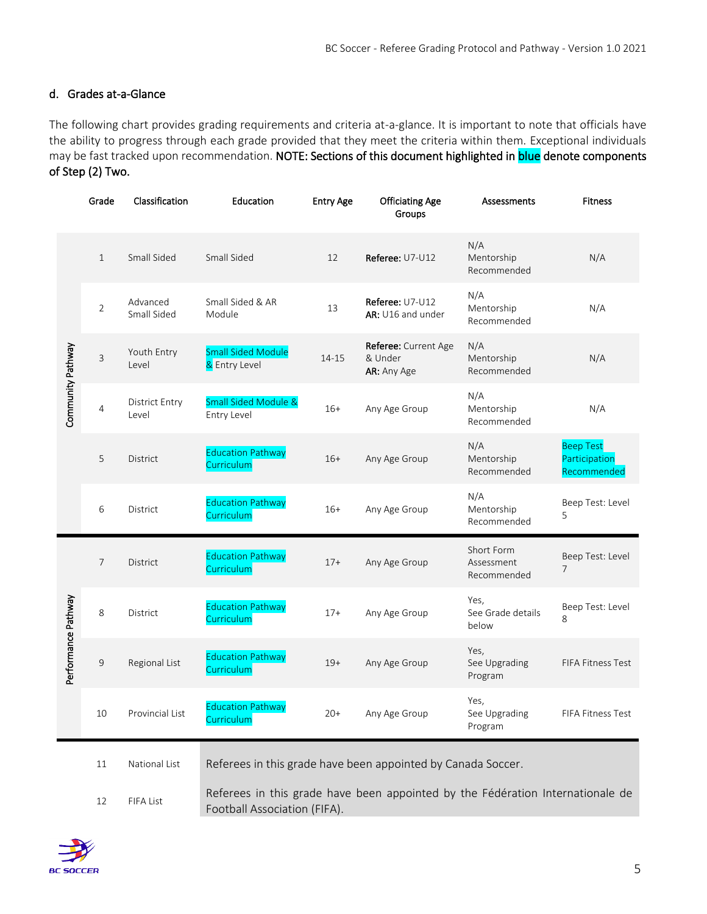## <span id="page-4-0"></span>d. Grades at-a-Glance

The following chart provides grading requirements and criteria at-a-glance. It is important to note that officials have the ability to progress through each grade provided that they meet the criteria within them. Exceptional individuals may be fast tracked upon recommendation. NOTE: Sections of this document highlighted in blue denote components of Step (2) Two.

|                                                                                                                                   | Grade                                                                               | Classification                 | Education                                      | <b>Entry Age</b> | <b>Officiating Age</b><br>Groups               | Assessments                             | <b>Fitness</b>                                   |
|-----------------------------------------------------------------------------------------------------------------------------------|-------------------------------------------------------------------------------------|--------------------------------|------------------------------------------------|------------------|------------------------------------------------|-----------------------------------------|--------------------------------------------------|
|                                                                                                                                   | $\mathbf{1}$                                                                        | Small Sided                    | Small Sided                                    | 12               | Referee: U7-U12                                | N/A<br>Mentorship<br>Recommended        | N/A                                              |
|                                                                                                                                   | $\overline{2}$                                                                      | Advanced<br>Small Sided        | Small Sided & AR<br>Module                     | 13               | Referee: U7-U12<br>AR: U16 and under           | N/A<br>Mentorship<br>Recommended        | N/A                                              |
|                                                                                                                                   | 3                                                                                   | Youth Entry<br>Level           | <b>Small Sided Module</b><br>& Entry Level     | 14-15            | Referee: Current Age<br>& Under<br>AR: Any Age | N/A<br>Mentorship<br>Recommended        | N/A                                              |
| Community Pathway                                                                                                                 | 4                                                                                   | <b>District Entry</b><br>Level | <b>Small Sided Module &amp;</b><br>Entry Level | $16+$            | Any Age Group                                  | N/A<br>Mentorship<br>Recommended        | N/A                                              |
|                                                                                                                                   | 5                                                                                   | District                       | <b>Education Pathway</b><br>Curriculum         | $16+$            | Any Age Group                                  | N/A<br>Mentorship<br>Recommended        | <b>Beep Test</b><br>Participation<br>Recommended |
|                                                                                                                                   | 6                                                                                   | District                       | <b>Education Pathway</b><br>Curriculum         | $16+$            | Any Age Group                                  | N/A<br>Mentorship<br>Recommended        | Beep Test: Level<br>5                            |
|                                                                                                                                   | 7                                                                                   | District                       | <b>Education Pathway</b><br>Curriculum         | $17+$            | Any Age Group                                  | Short Form<br>Assessment<br>Recommended | Beep Test: Level<br>7                            |
|                                                                                                                                   | 8                                                                                   | District                       | <b>Education Pathway</b><br>Curriculum         | $17+$            | Any Age Group                                  | Yes,<br>See Grade details<br>below      | Beep Test: Level<br>8                            |
| Performance Pathway                                                                                                               | 9                                                                                   | Regional List                  | <b>Education Pathway</b><br>Curriculum         | $19+$            | Any Age Group                                  | Yes,<br>See Upgrading<br>Program        | FIFA Fitness Test                                |
|                                                                                                                                   | 10                                                                                  | Provincial List                | <b>Education Pathway</b><br>Curriculum         | 20+              | Any Age Group                                  | Yes,<br>See Upgrading<br>Program        | FIFA Fitness Test                                |
|                                                                                                                                   | Referees in this grade have been appointed by Canada Soccer.<br>National List<br>11 |                                |                                                |                  |                                                |                                         |                                                  |
| Referees in this grade have been appointed by the Fédération Internationale de<br>FIFA List<br>12<br>Football Association (FIFA). |                                                                                     |                                |                                                |                  |                                                |                                         |                                                  |

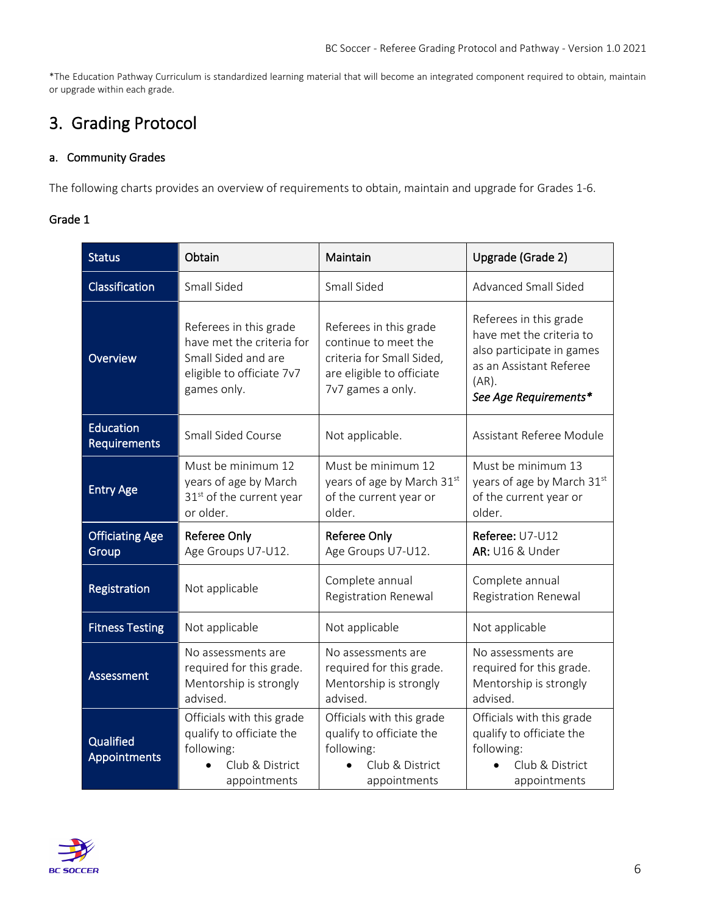\*The Education Pathway Curriculum is standardized learning material that will become an integrated component required to obtain, maintain or upgrade within each grade.

# <span id="page-5-0"></span>3. Grading Protocol

### <span id="page-5-1"></span>a. Community Grades

<span id="page-5-2"></span>The following charts provides an overview of requirements to obtain, maintain and upgrade for Grades 1-6.

| <b>Status</b>                           | Obtain                                                                                                                 | Maintain                                                                                                                      | Upgrade (Grade 2)                                                                                                                               |
|-----------------------------------------|------------------------------------------------------------------------------------------------------------------------|-------------------------------------------------------------------------------------------------------------------------------|-------------------------------------------------------------------------------------------------------------------------------------------------|
| Classification                          | Small Sided                                                                                                            | Small Sided                                                                                                                   | <b>Advanced Small Sided</b>                                                                                                                     |
| Overview                                | Referees in this grade<br>have met the criteria for<br>Small Sided and are<br>eligible to officiate 7v7<br>games only. | Referees in this grade<br>continue to meet the<br>criteria for Small Sided,<br>are eligible to officiate<br>7v7 games a only. | Referees in this grade<br>have met the criteria to<br>also participate in games<br>as an Assistant Referee<br>$(AR)$ .<br>See Age Requirements* |
| <b>Education</b><br><b>Requirements</b> | <b>Small Sided Course</b>                                                                                              | Not applicable.                                                                                                               | Assistant Referee Module                                                                                                                        |
| <b>Entry Age</b>                        | Must be minimum 12<br>years of age by March<br>31 <sup>st</sup> of the current year<br>or older.                       | Must be minimum 12<br>years of age by March 31st<br>of the current year or<br>older.                                          | Must be minimum 13<br>years of age by March 31st<br>of the current year or<br>older.                                                            |
| <b>Officiating Age</b><br>Group         | Referee Only<br>Age Groups U7-U12.                                                                                     | Referee Only<br>Age Groups U7-U12.                                                                                            | Referee: U7-U12<br>AR: U16 & Under                                                                                                              |
| Registration                            | Not applicable                                                                                                         | Complete annual<br><b>Registration Renewal</b>                                                                                | Complete annual<br>Registration Renewal                                                                                                         |
| <b>Fitness Testing</b>                  | Not applicable                                                                                                         | Not applicable                                                                                                                | Not applicable                                                                                                                                  |
| <b>Assessment</b>                       | No assessments are<br>required for this grade.<br>Mentorship is strongly<br>advised.                                   | No assessments are<br>required for this grade.<br>Mentorship is strongly<br>advised.                                          | No assessments are<br>required for this grade.<br>Mentorship is strongly<br>advised.                                                            |
| Qualified<br>Appointments               | Officials with this grade<br>qualify to officiate the<br>following:<br>Club & District<br>appointments                 | Officials with this grade<br>qualify to officiate the<br>following:<br>Club & District<br>appointments                        | Officials with this grade<br>qualify to officiate the<br>following:<br>Club & District<br>appointments                                          |

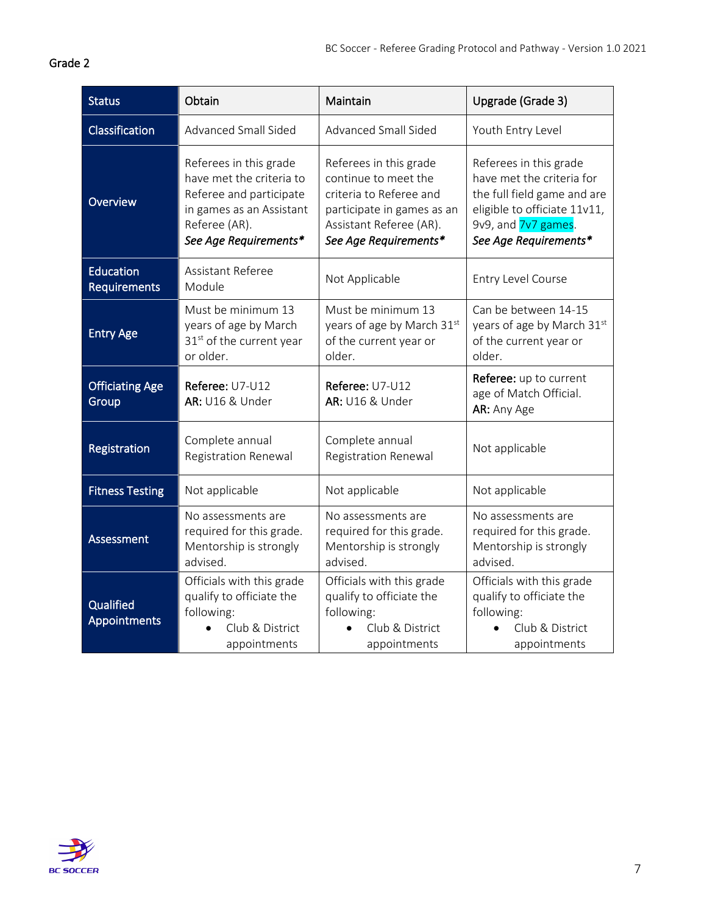<span id="page-6-0"></span>

| Status                           | Obtain                                                                                                                                              | Maintain                                                                                                                                                    | Upgrade (Grade 3)                                                                                                                                                  |
|----------------------------------|-----------------------------------------------------------------------------------------------------------------------------------------------------|-------------------------------------------------------------------------------------------------------------------------------------------------------------|--------------------------------------------------------------------------------------------------------------------------------------------------------------------|
| Classification                   | Advanced Small Sided                                                                                                                                | <b>Advanced Small Sided</b>                                                                                                                                 | Youth Entry Level                                                                                                                                                  |
| Overview                         | Referees in this grade<br>have met the criteria to<br>Referee and participate<br>in games as an Assistant<br>Referee (AR).<br>See Age Requirements* | Referees in this grade<br>continue to meet the<br>criteria to Referee and<br>participate in games as an<br>Assistant Referee (AR).<br>See Age Requirements* | Referees in this grade<br>have met the criteria for<br>the full field game and are<br>eligible to officiate 11v11,<br>9v9, and 7v7 games.<br>See Age Requirements* |
| <b>Education</b><br>Requirements | Assistant Referee<br>Module                                                                                                                         | Not Applicable                                                                                                                                              | Entry Level Course                                                                                                                                                 |
| <b>Entry Age</b>                 | Must be minimum 13<br>years of age by March<br>31 <sup>st</sup> of the current year<br>or older.                                                    | Must be minimum 13<br>years of age by March 31st<br>of the current year or<br>older.                                                                        | Can be between 14-15<br>years of age by March 31st<br>of the current year or<br>older.                                                                             |
| <b>Officiating Age</b><br>Group  | Referee: U7-U12<br>AR: U16 & Under                                                                                                                  | Referee: U7-U12<br>AR: U16 & Under                                                                                                                          | Referee: up to current<br>age of Match Official.<br>AR: Any Age                                                                                                    |
| Registration                     | Complete annual<br><b>Registration Renewal</b>                                                                                                      | Complete annual<br><b>Registration Renewal</b>                                                                                                              | Not applicable                                                                                                                                                     |
| <b>Fitness Testing</b>           | Not applicable                                                                                                                                      | Not applicable                                                                                                                                              | Not applicable                                                                                                                                                     |
| Assessment                       | No assessments are<br>required for this grade.<br>Mentorship is strongly<br>advised.                                                                | No assessments are<br>required for this grade.<br>Mentorship is strongly<br>advised.                                                                        | No assessments are<br>required for this grade.<br>Mentorship is strongly<br>advised.                                                                               |
| Qualified<br>Appointments        | Officials with this grade<br>qualify to officiate the<br>following:<br>Club & District<br>appointments                                              | Officials with this grade<br>qualify to officiate the<br>following:<br>Club & District<br>appointments                                                      | Officials with this grade<br>qualify to officiate the<br>following:<br>Club & District<br>appointments                                                             |

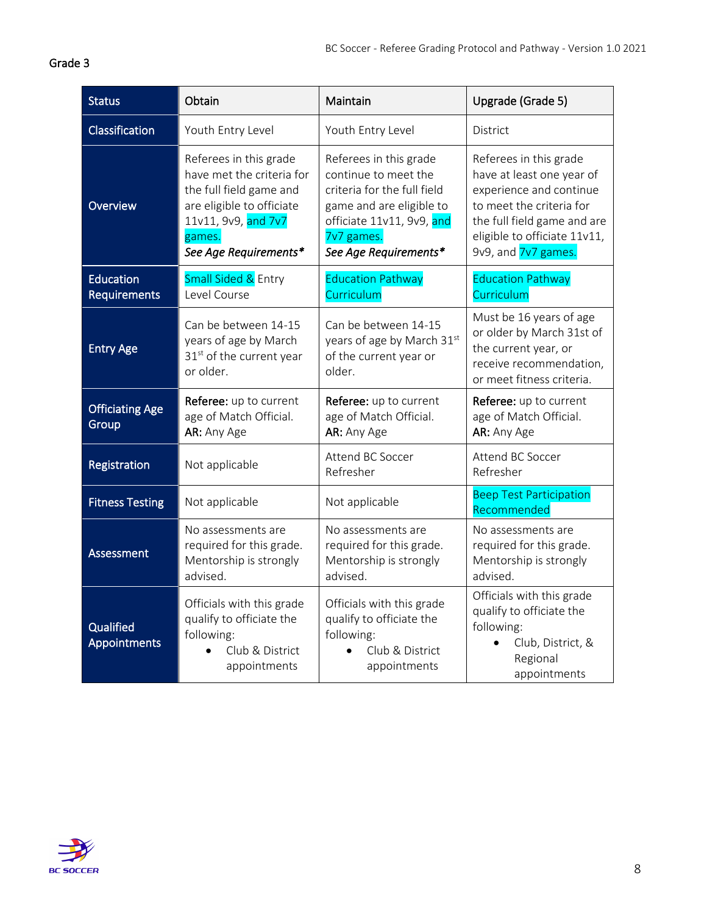<span id="page-7-0"></span>

| <b>Status</b>                           | Obtain                                                                                                                                                                | Maintain                                                                                                                                                                      | Upgrade (Grade 5)                                                                                                                                                                                |
|-----------------------------------------|-----------------------------------------------------------------------------------------------------------------------------------------------------------------------|-------------------------------------------------------------------------------------------------------------------------------------------------------------------------------|--------------------------------------------------------------------------------------------------------------------------------------------------------------------------------------------------|
| Classification                          | Youth Entry Level                                                                                                                                                     | Youth Entry Level                                                                                                                                                             | District                                                                                                                                                                                         |
| Overview                                | Referees in this grade<br>have met the criteria for<br>the full field game and<br>are eligible to officiate<br>11v11, 9v9, and 7v7<br>games.<br>See Age Requirements* | Referees in this grade<br>continue to meet the<br>criteria for the full field<br>game and are eligible to<br>officiate 11v11, 9v9, and<br>7v7 games.<br>See Age Requirements* | Referees in this grade<br>have at least one year of<br>experience and continue<br>to meet the criteria for<br>the full field game and are<br>eligible to officiate 11v11,<br>9v9, and 7v7 games. |
| <b>Education</b><br><b>Requirements</b> | Small Sided & Entry<br>Level Course                                                                                                                                   | <b>Education Pathway</b><br>Curriculum                                                                                                                                        | <b>Education Pathway</b><br>Curriculum                                                                                                                                                           |
| <b>Entry Age</b>                        | Can be between 14-15<br>years of age by March<br>31st of the current year<br>or older.                                                                                | Can be between 14-15<br>years of age by March 31st<br>of the current year or<br>older.                                                                                        | Must be 16 years of age<br>or older by March 31st of<br>the current year, or<br>receive recommendation,<br>or meet fitness criteria.                                                             |
| <b>Officiating Age</b><br>Group         | Referee: up to current<br>age of Match Official.<br>AR: Any Age                                                                                                       | Referee: up to current<br>age of Match Official.<br>AR: Any Age                                                                                                               | Referee: up to current<br>age of Match Official.<br>AR: Any Age                                                                                                                                  |
| Registration                            | Not applicable                                                                                                                                                        | Attend BC Soccer<br>Refresher                                                                                                                                                 | Attend BC Soccer<br>Refresher                                                                                                                                                                    |
| <b>Fitness Testing</b>                  | Not applicable                                                                                                                                                        | Not applicable                                                                                                                                                                | <b>Beep Test Participation</b><br>Recommended                                                                                                                                                    |
| Assessment                              | No assessments are<br>required for this grade.<br>Mentorship is strongly<br>advised.                                                                                  | No assessments are<br>required for this grade.<br>Mentorship is strongly<br>advised.                                                                                          | No assessments are<br>required for this grade.<br>Mentorship is strongly<br>advised.                                                                                                             |
| Qualified<br>Appointments               | Officials with this grade<br>qualify to officiate the<br>following:<br>Club & District<br>appointments                                                                | Officials with this grade<br>qualify to officiate the<br>following:<br>Club & District<br>appointments                                                                        | Officials with this grade<br>qualify to officiate the<br>following:<br>Club, District, &<br>Regional<br>appointments                                                                             |

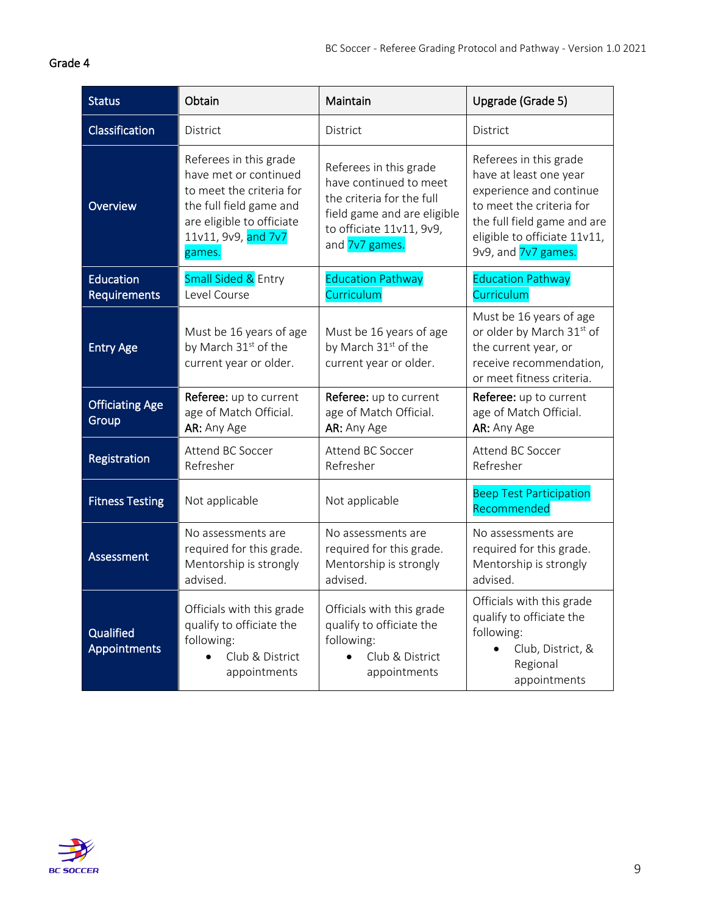<span id="page-8-0"></span>

| <b>Status</b>                    | Obtain                                                                                                                                                               | Maintain                                                                                                                                                   | Upgrade (Grade 5)                                                                                                                                                                             |
|----------------------------------|----------------------------------------------------------------------------------------------------------------------------------------------------------------------|------------------------------------------------------------------------------------------------------------------------------------------------------------|-----------------------------------------------------------------------------------------------------------------------------------------------------------------------------------------------|
| Classification                   | District                                                                                                                                                             | District                                                                                                                                                   | District                                                                                                                                                                                      |
| Overview                         | Referees in this grade<br>have met or continued<br>to meet the criteria for<br>the full field game and<br>are eligible to officiate<br>11v11, 9v9, and 7v7<br>games. | Referees in this grade<br>have continued to meet<br>the criteria for the full<br>field game and are eligible<br>to officiate 11v11, 9v9,<br>and 7v7 games. | Referees in this grade<br>have at least one year<br>experience and continue<br>to meet the criteria for<br>the full field game and are<br>eligible to officiate 11v11,<br>9v9, and 7v7 games. |
| Education<br><b>Requirements</b> | Small Sided & Entry<br>Level Course                                                                                                                                  | <b>Education Pathway</b><br>Curriculum                                                                                                                     | <b>Education Pathway</b><br>Curriculum                                                                                                                                                        |
| <b>Entry Age</b>                 | Must be 16 years of age<br>by March 31 <sup>st</sup> of the<br>current year or older.                                                                                | Must be 16 years of age<br>by March 31 <sup>st</sup> of the<br>current year or older.                                                                      | Must be 16 years of age<br>or older by March 31st of<br>the current year, or<br>receive recommendation,<br>or meet fitness criteria.                                                          |
| <b>Officiating Age</b><br>Group  | Referee: up to current<br>age of Match Official.<br>AR: Any Age                                                                                                      | Referee: up to current<br>age of Match Official.<br>AR: Any Age                                                                                            | Referee: up to current<br>age of Match Official.<br>AR: Any Age                                                                                                                               |
| Registration                     | Attend BC Soccer<br>Refresher                                                                                                                                        | Attend BC Soccer<br>Refresher                                                                                                                              | Attend BC Soccer<br>Refresher                                                                                                                                                                 |
| <b>Fitness Testing</b>           | Not applicable                                                                                                                                                       | Not applicable                                                                                                                                             | <b>Beep Test Participation</b><br>Recommended                                                                                                                                                 |
| Assessment                       | No assessments are<br>required for this grade.<br>Mentorship is strongly<br>advised.                                                                                 | No assessments are<br>required for this grade.<br>Mentorship is strongly<br>advised.                                                                       | No assessments are<br>required for this grade.<br>Mentorship is strongly<br>advised.                                                                                                          |
| Qualified<br>Appointments        | Officials with this grade<br>qualify to officiate the<br>following:<br>Club & District<br>appointments                                                               | Officials with this grade<br>qualify to officiate the<br>following:<br>Club & District<br>$\bullet$<br>appointments                                        | Officials with this grade<br>qualify to officiate the<br>following:<br>Club, District, &<br>Regional<br>appointments                                                                          |

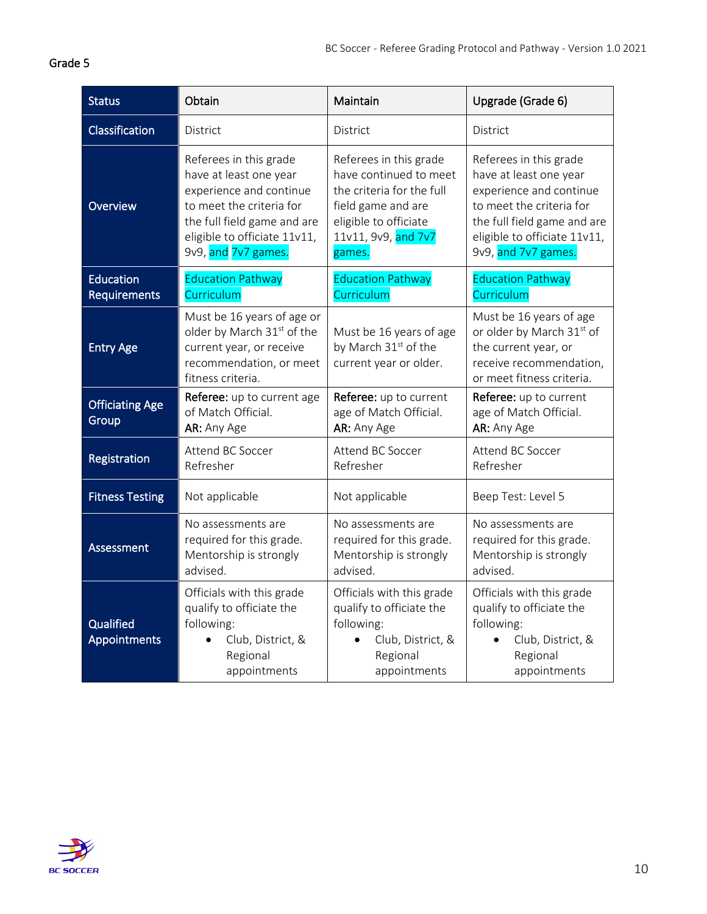<span id="page-9-0"></span>

| <b>Status</b>                   | Obtain                                                                                                                                                                                        | Maintain                                                                                                                                                      | Upgrade (Grade 6)                                                                                                                                                                             |
|---------------------------------|-----------------------------------------------------------------------------------------------------------------------------------------------------------------------------------------------|---------------------------------------------------------------------------------------------------------------------------------------------------------------|-----------------------------------------------------------------------------------------------------------------------------------------------------------------------------------------------|
| Classification                  | District                                                                                                                                                                                      | District                                                                                                                                                      | District                                                                                                                                                                                      |
| Overview                        | Referees in this grade<br>have at least one year<br>experience and continue<br>to meet the criteria for<br>the full field game and are<br>eligible to officiate 11v11,<br>9v9, and 7v7 games. | Referees in this grade<br>have continued to meet<br>the criteria for the full<br>field game and are<br>eligible to officiate<br>11v11, 9v9, and 7v7<br>games. | Referees in this grade<br>have at least one year<br>experience and continue<br>to meet the criteria for<br>the full field game and are<br>eligible to officiate 11v11,<br>9v9, and 7v7 games. |
| Education<br>Requirements       | <b>Education Pathway</b><br>Curriculum                                                                                                                                                        | <b>Education Pathway</b><br>Curriculum                                                                                                                        | <b>Education Pathway</b><br>Curriculum                                                                                                                                                        |
| <b>Entry Age</b>                | Must be 16 years of age or<br>older by March 31 <sup>st</sup> of the<br>current year, or receive<br>recommendation, or meet<br>fitness criteria.                                              | Must be 16 years of age<br>by March 31 <sup>st</sup> of the<br>current year or older.                                                                         | Must be 16 years of age<br>or older by March 31st of<br>the current year, or<br>receive recommendation,<br>or meet fitness criteria.                                                          |
| <b>Officiating Age</b><br>Group | Referee: up to current age<br>of Match Official.<br>AR: Any Age                                                                                                                               | Referee: up to current<br>age of Match Official.<br>AR: Any Age                                                                                               | Referee: up to current<br>age of Match Official.<br>AR: Any Age                                                                                                                               |
| Registration                    | Attend BC Soccer<br>Refresher                                                                                                                                                                 | Attend BC Soccer<br>Refresher                                                                                                                                 | Attend BC Soccer<br>Refresher                                                                                                                                                                 |
| <b>Fitness Testing</b>          | Not applicable                                                                                                                                                                                | Not applicable                                                                                                                                                | Beep Test: Level 5                                                                                                                                                                            |
| Assessment                      | No assessments are<br>required for this grade.<br>Mentorship is strongly<br>advised.                                                                                                          | No assessments are<br>required for this grade.<br>Mentorship is strongly<br>advised.                                                                          | No assessments are<br>required for this grade.<br>Mentorship is strongly<br>advised.                                                                                                          |
| Qualified<br>Appointments       | Officials with this grade<br>qualify to officiate the<br>following:<br>Club, District, &<br>Regional<br>appointments                                                                          | Officials with this grade<br>qualify to officiate the<br>following:<br>Club, District, &<br>Regional<br>appointments                                          | Officials with this grade<br>qualify to officiate the<br>following:<br>Club, District, &<br>Regional<br>appointments                                                                          |

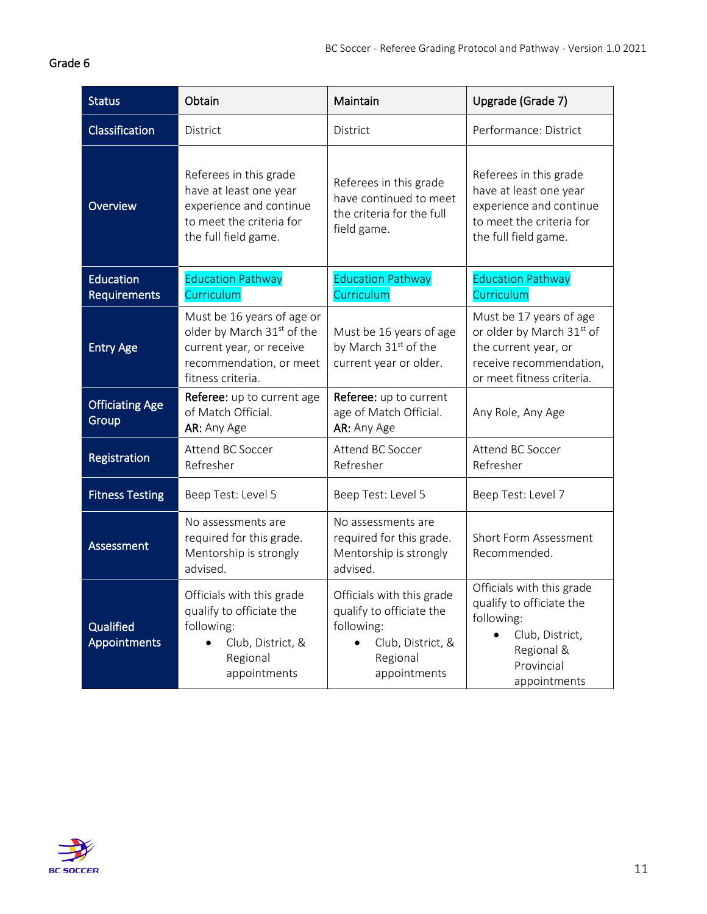<span id="page-10-0"></span>

| <b>Status</b>                    | Obtain                                                                                                                               | Maintain                                                                                                             | Upgrade (Grade 7)                                                                                                                    |
|----------------------------------|--------------------------------------------------------------------------------------------------------------------------------------|----------------------------------------------------------------------------------------------------------------------|--------------------------------------------------------------------------------------------------------------------------------------|
| Classification                   | District                                                                                                                             | District                                                                                                             | Performance: District                                                                                                                |
| <b>Overview</b>                  | Referees in this grade<br>have at least one year<br>experience and continue<br>to meet the criteria for<br>the full field game.      | Referees in this grade<br>have continued to meet<br>the criteria for the full<br>field game.                         | Referees in this grade<br>have at least one year<br>experience and continue<br>to meet the criteria for<br>the full field game.      |
| Education<br><b>Requirements</b> | <b>Education Pathway</b><br>Curriculum                                                                                               | <b>Education Pathway</b><br>Curriculum                                                                               | <b>Education Pathway</b><br>Curriculum                                                                                               |
| <b>Entry Age</b>                 | Must be 16 years of age or<br>older by March 31st of the<br>current year, or receive<br>recommendation, or meet<br>fitness criteria. | Must be 16 years of age<br>by March 31 <sup>st</sup> of the<br>current year or older.                                | Must be 17 years of age<br>or older by March 31st of<br>the current year, or<br>receive recommendation,<br>or meet fitness criteria. |
| <b>Officiating Age</b><br>Group  | Referee: up to current age<br>of Match Official.<br>AR: Any Age                                                                      | Referee: up to current<br>age of Match Official.<br>AR: Any Age                                                      | Any Role, Any Age                                                                                                                    |
| Registration                     | Attend BC Soccer<br>Refresher                                                                                                        | Attend BC Soccer<br>Refresher                                                                                        | Attend BC Soccer<br>Refresher                                                                                                        |
| <b>Fitness Testing</b>           | Beep Test: Level 5                                                                                                                   | Beep Test: Level 5                                                                                                   | Beep Test: Level 7                                                                                                                   |
| Assessment                       | No assessments are<br>required for this grade.<br>Mentorship is strongly<br>advised.                                                 | No assessments are<br>required for this grade.<br>Mentorship is strongly<br>advised.                                 | <b>Short Form Assessment</b><br>Recommended.                                                                                         |
| Qualified<br><b>Appointments</b> | Officials with this grade<br>qualify to officiate the<br>following:<br>Club, District, &<br>Regional<br>appointments                 | Officials with this grade<br>qualify to officiate the<br>following:<br>Club, District, &<br>Regional<br>appointments | Officials with this grade<br>qualify to officiate the<br>following:<br>Club, District,<br>Regional &<br>Provincial<br>appointments   |

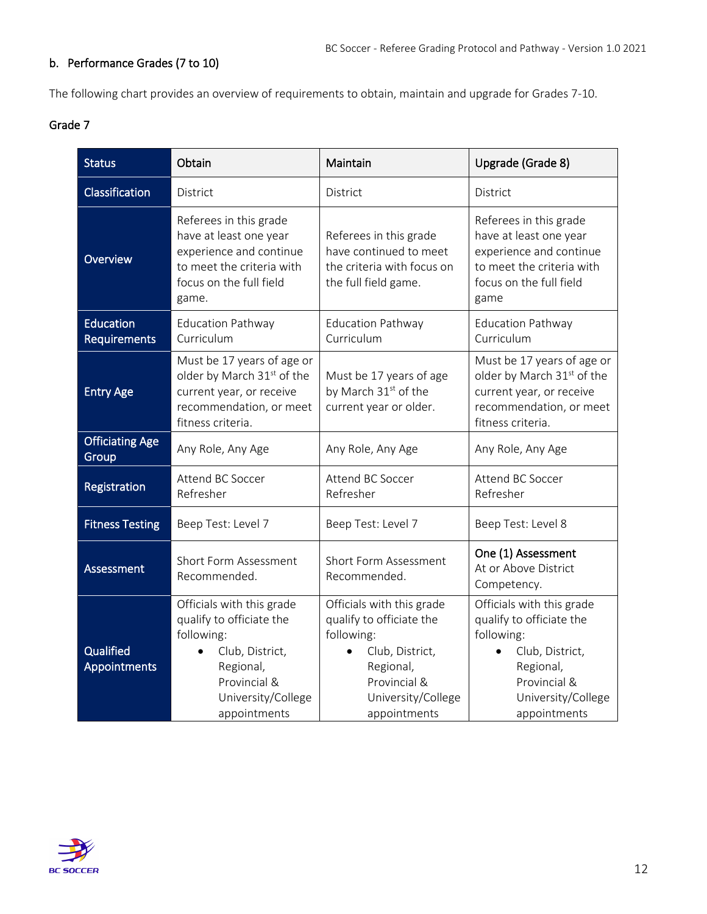# <span id="page-11-0"></span>b. Performance Grades (7 to 10)

<span id="page-11-1"></span>The following chart provides an overview of requirements to obtain, maintain and upgrade for Grades 7-10.

| <b>Status</b>                    | Obtain                                                                                                                                                    | Maintain                                                                                                                                                  | Upgrade (Grade 8)                                                                                                                                                      |
|----------------------------------|-----------------------------------------------------------------------------------------------------------------------------------------------------------|-----------------------------------------------------------------------------------------------------------------------------------------------------------|------------------------------------------------------------------------------------------------------------------------------------------------------------------------|
| Classification                   | District                                                                                                                                                  | District                                                                                                                                                  | District                                                                                                                                                               |
| Overview                         | Referees in this grade<br>have at least one year<br>experience and continue<br>to meet the criteria with<br>focus on the full field<br>game.              | Referees in this grade<br>have continued to meet<br>the criteria with focus on<br>the full field game.                                                    | Referees in this grade<br>have at least one year<br>experience and continue<br>to meet the criteria with<br>focus on the full field<br>game                            |
| Education<br>Requirements        | <b>Education Pathway</b><br>Curriculum                                                                                                                    | <b>Education Pathway</b><br>Curriculum                                                                                                                    | <b>Education Pathway</b><br>Curriculum                                                                                                                                 |
| <b>Entry Age</b>                 | Must be 17 years of age or<br>older by March 31 <sup>st</sup> of the<br>current year, or receive<br>recommendation, or meet<br>fitness criteria.          | Must be 17 years of age<br>by March 31 <sup>st</sup> of the<br>current year or older.                                                                     | Must be 17 years of age or<br>older by March 31st of the<br>current year, or receive<br>recommendation, or meet<br>fitness criteria.                                   |
| <b>Officiating Age</b><br>Group  | Any Role, Any Age                                                                                                                                         | Any Role, Any Age                                                                                                                                         | Any Role, Any Age                                                                                                                                                      |
| Registration                     | Attend BC Soccer<br>Refresher                                                                                                                             | Attend BC Soccer<br>Refresher                                                                                                                             | Attend BC Soccer<br>Refresher                                                                                                                                          |
| <b>Fitness Testing</b>           | Beep Test: Level 7                                                                                                                                        | Beep Test: Level 7                                                                                                                                        | Beep Test: Level 8                                                                                                                                                     |
| <b>Assessment</b>                | Short Form Assessment<br>Recommended.                                                                                                                     | Short Form Assessment<br>Recommended.                                                                                                                     | One (1) Assessment<br>At or Above District<br>Competency.                                                                                                              |
| Qualified<br><b>Appointments</b> | Officials with this grade<br>qualify to officiate the<br>following:<br>Club, District,<br>Regional,<br>Provincial &<br>University/College<br>appointments | Officials with this grade<br>qualify to officiate the<br>following:<br>Club, District,<br>Regional,<br>Provincial &<br>University/College<br>appointments | Officials with this grade<br>qualify to officiate the<br>following:<br>Club, District,<br>$\bullet$<br>Regional,<br>Provincial &<br>University/College<br>appointments |

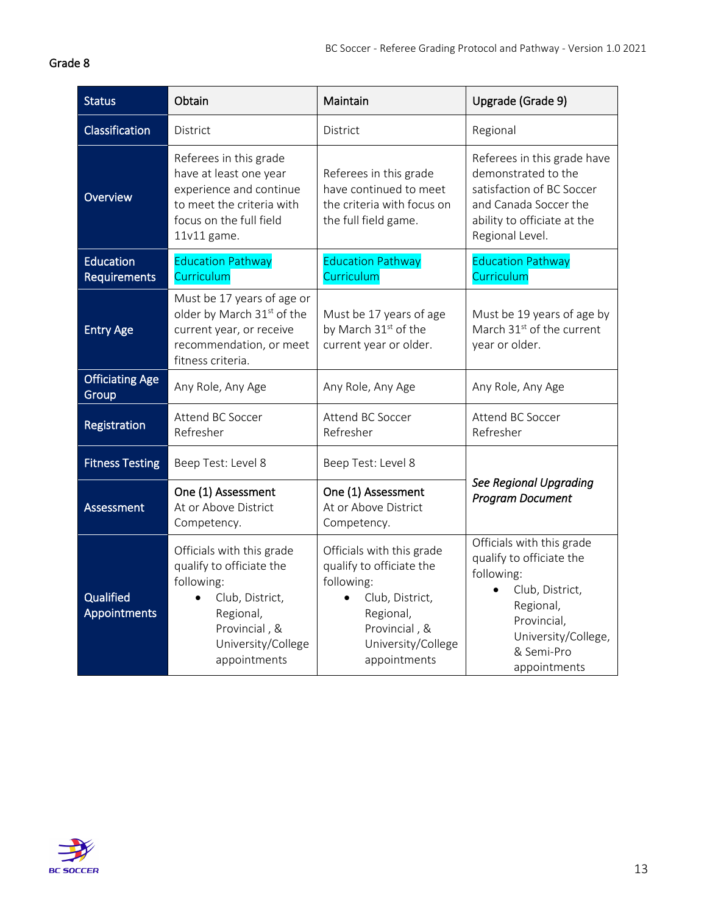<span id="page-12-0"></span>

| <b>Status</b>                    | Obtain                                                                                                                                                                  | Maintain                                                                                                                                                   | Upgrade (Grade 9)                                                                                                                                                       |
|----------------------------------|-------------------------------------------------------------------------------------------------------------------------------------------------------------------------|------------------------------------------------------------------------------------------------------------------------------------------------------------|-------------------------------------------------------------------------------------------------------------------------------------------------------------------------|
| Classification                   | District                                                                                                                                                                | <b>District</b>                                                                                                                                            | Regional                                                                                                                                                                |
| Overview                         | Referees in this grade<br>have at least one year<br>experience and continue<br>to meet the criteria with<br>focus on the full field<br>11v11 game.                      | Referees in this grade<br>have continued to meet<br>the criteria with focus on<br>the full field game.                                                     | Referees in this grade have<br>demonstrated to the<br>satisfaction of BC Soccer<br>and Canada Soccer the<br>ability to officiate at the<br>Regional Level.              |
| Education<br><b>Requirements</b> | <b>Education Pathway</b><br>Curriculum                                                                                                                                  | <b>Education Pathway</b><br>Curriculum                                                                                                                     | <b>Education Pathway</b><br>Curriculum                                                                                                                                  |
| <b>Entry Age</b>                 | Must be 17 years of age or<br>older by March 31 <sup>st</sup> of the<br>current year, or receive<br>recommendation, or meet<br>fitness criteria.                        | Must be 17 years of age<br>by March 31 <sup>st</sup> of the<br>current year or older.                                                                      | Must be 19 years of age by<br>March 31 <sup>st</sup> of the current<br>year or older.                                                                                   |
| <b>Officiating Age</b><br>Group  | Any Role, Any Age                                                                                                                                                       | Any Role, Any Age                                                                                                                                          | Any Role, Any Age                                                                                                                                                       |
| Registration                     | Attend BC Soccer<br>Refresher                                                                                                                                           | Attend BC Soccer<br>Refresher                                                                                                                              | <b>Attend BC Soccer</b><br>Refresher                                                                                                                                    |
| <b>Fitness Testing</b>           | Beep Test: Level 8                                                                                                                                                      | Beep Test: Level 8                                                                                                                                         |                                                                                                                                                                         |
| Assessment                       | One (1) Assessment<br>At or Above District<br>Competency.                                                                                                               | One (1) Assessment<br>At or Above District<br>Competency.                                                                                                  | <b>See Regional Upgrading</b><br><b>Program Document</b>                                                                                                                |
| Qualified<br><b>Appointments</b> | Officials with this grade<br>qualify to officiate the<br>following:<br>Club, District,<br>$\bullet$<br>Regional,<br>Provincial, &<br>University/College<br>appointments | Officials with this grade<br>qualify to officiate the<br>following:<br>Club, District,<br>Regional,<br>Provincial, &<br>University/College<br>appointments | Officials with this grade<br>qualify to officiate the<br>following:<br>Club, District,<br>Regional,<br>Provincial,<br>University/College,<br>& Semi-Pro<br>appointments |

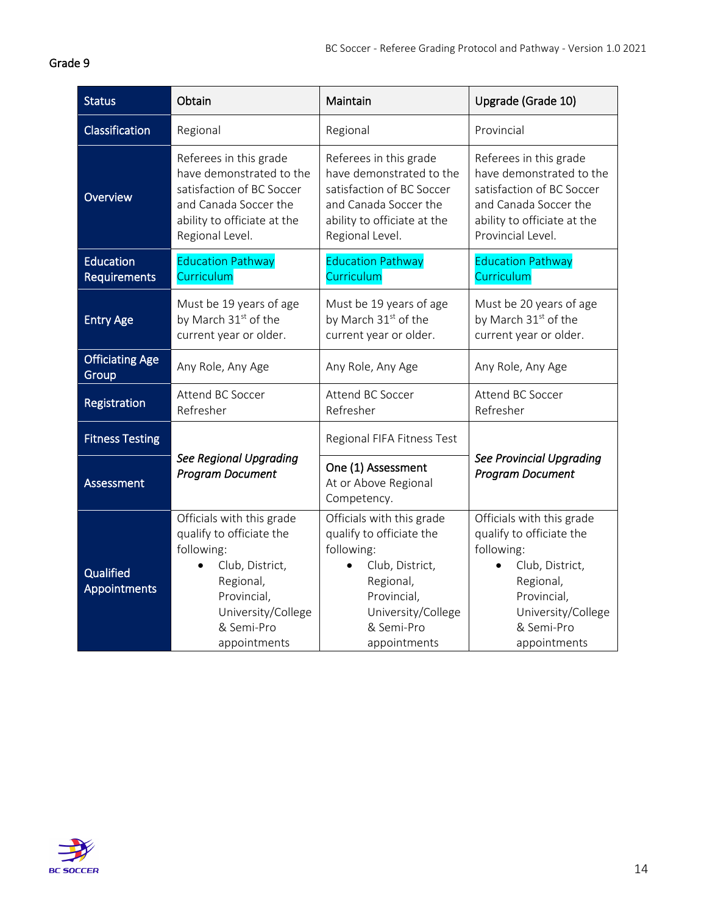<span id="page-13-0"></span>

| <b>Status</b>                    | Obtain                                                                                                                                                                 | Maintain                                                                                                                                                               | Upgrade (Grade 10)                                                                                                                                                     |
|----------------------------------|------------------------------------------------------------------------------------------------------------------------------------------------------------------------|------------------------------------------------------------------------------------------------------------------------------------------------------------------------|------------------------------------------------------------------------------------------------------------------------------------------------------------------------|
| Classification                   | Regional                                                                                                                                                               | Regional                                                                                                                                                               | Provincial                                                                                                                                                             |
| Overview                         | Referees in this grade<br>have demonstrated to the<br>satisfaction of BC Soccer<br>and Canada Soccer the<br>ability to officiate at the<br>Regional Level.             | Referees in this grade<br>have demonstrated to the<br>satisfaction of BC Soccer<br>and Canada Soccer the<br>ability to officiate at the<br>Regional Level.             | Referees in this grade<br>have demonstrated to the<br>satisfaction of BC Soccer<br>and Canada Soccer the<br>ability to officiate at the<br>Provincial Level.           |
| <b>Education</b><br>Requirements | <b>Education Pathway</b><br>Curriculum                                                                                                                                 | <b>Education Pathway</b><br>Curriculum                                                                                                                                 | <b>Education Pathway</b><br>Curriculum                                                                                                                                 |
| <b>Entry Age</b>                 | Must be 19 years of age<br>by March 31 <sup>st</sup> of the<br>current year or older.                                                                                  | Must be 19 years of age<br>by March 31 <sup>st</sup> of the<br>current year or older.                                                                                  | Must be 20 years of age<br>by March 31 <sup>st</sup> of the<br>current year or older.                                                                                  |
| <b>Officiating Age</b><br>Group  | Any Role, Any Age                                                                                                                                                      | Any Role, Any Age                                                                                                                                                      | Any Role, Any Age                                                                                                                                                      |
| Registration                     | Attend BC Soccer<br>Refresher                                                                                                                                          | Attend BC Soccer<br>Refresher                                                                                                                                          | Attend BC Soccer<br>Refresher                                                                                                                                          |
| <b>Fitness Testing</b>           |                                                                                                                                                                        | Regional FIFA Fitness Test                                                                                                                                             |                                                                                                                                                                        |
| Assessment                       | <b>See Regional Upgrading</b><br><b>Program Document</b>                                                                                                               | One (1) Assessment<br>At or Above Regional<br>Competency.                                                                                                              | <b>See Provincial Upgrading</b><br><b>Program Document</b>                                                                                                             |
| Qualified<br>Appointments        | Officials with this grade<br>qualify to officiate the<br>following:<br>Club, District,<br>Regional,<br>Provincial,<br>University/College<br>& Semi-Pro<br>appointments | Officials with this grade<br>qualify to officiate the<br>following:<br>Club, District,<br>Regional,<br>Provincial,<br>University/College<br>& Semi-Pro<br>appointments | Officials with this grade<br>qualify to officiate the<br>following:<br>Club, District,<br>Regional,<br>Provincial,<br>University/College<br>& Semi-Pro<br>appointments |

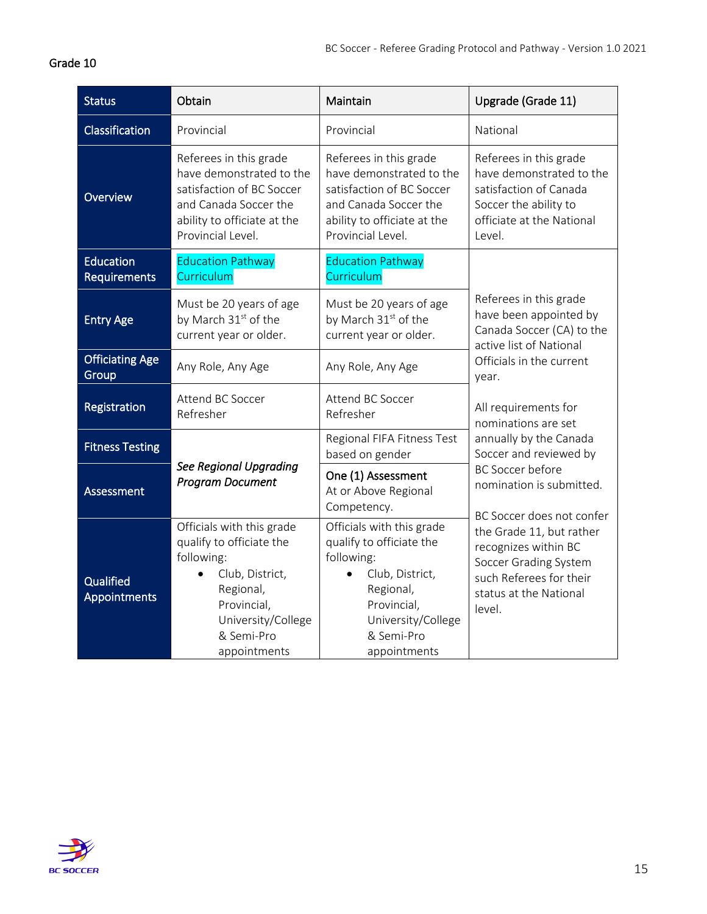<span id="page-14-0"></span>

| <b>Status</b>                    | Obtain                                                                                                                                                                 | Maintain                                                                                                                                                               | Upgrade (Grade 11)                                                                                                                                                                                                                                                                                                              |
|----------------------------------|------------------------------------------------------------------------------------------------------------------------------------------------------------------------|------------------------------------------------------------------------------------------------------------------------------------------------------------------------|---------------------------------------------------------------------------------------------------------------------------------------------------------------------------------------------------------------------------------------------------------------------------------------------------------------------------------|
| Classification                   | Provincial                                                                                                                                                             | Provincial                                                                                                                                                             | National                                                                                                                                                                                                                                                                                                                        |
| Overview                         | Referees in this grade<br>have demonstrated to the<br>satisfaction of BC Soccer<br>and Canada Soccer the<br>ability to officiate at the<br>Provincial Level.           | Referees in this grade<br>have demonstrated to the<br>satisfaction of BC Soccer<br>and Canada Soccer the<br>ability to officiate at the<br>Provincial Level.           | Referees in this grade<br>have demonstrated to the<br>satisfaction of Canada<br>Soccer the ability to<br>officiate at the National<br>Level.                                                                                                                                                                                    |
| <b>Education</b><br>Requirements | <b>Education Pathway</b><br>Curriculum                                                                                                                                 | <b>Education Pathway</b><br>Curriculum                                                                                                                                 |                                                                                                                                                                                                                                                                                                                                 |
| <b>Entry Age</b>                 | Must be 20 years of age<br>by March 31 <sup>st</sup> of the<br>current year or older.                                                                                  | Must be 20 years of age<br>by March 31 <sup>st</sup> of the<br>current year or older.                                                                                  | Referees in this grade<br>have been appointed by<br>Canada Soccer (CA) to the<br>active list of National<br>Officials in the current<br>year.                                                                                                                                                                                   |
| <b>Officiating Age</b><br>Group  | Any Role, Any Age                                                                                                                                                      | Any Role, Any Age                                                                                                                                                      |                                                                                                                                                                                                                                                                                                                                 |
| Registration                     | Attend BC Soccer<br>Refresher                                                                                                                                          | Attend BC Soccer<br>Refresher                                                                                                                                          | All requirements for<br>nominations are set<br>annually by the Canada<br>Soccer and reviewed by<br><b>BC Soccer before</b><br>nomination is submitted.<br>BC Soccer does not confer<br>the Grade 11, but rather<br>recognizes within BC<br>Soccer Grading System<br>such Referees for their<br>status at the National<br>level. |
| <b>Fitness Testing</b>           |                                                                                                                                                                        | Regional FIFA Fitness Test<br>based on gender                                                                                                                          |                                                                                                                                                                                                                                                                                                                                 |
| Assessment                       | <b>See Regional Upgrading</b><br><b>Program Document</b>                                                                                                               | One (1) Assessment<br>At or Above Regional<br>Competency.                                                                                                              |                                                                                                                                                                                                                                                                                                                                 |
| Qualified<br>Appointments        | Officials with this grade<br>qualify to officiate the<br>following:<br>Club, District,<br>Regional,<br>Provincial,<br>University/College<br>& Semi-Pro<br>appointments | Officials with this grade<br>qualify to officiate the<br>following:<br>Club, District,<br>Regional,<br>Provincial,<br>University/College<br>& Semi-Pro<br>appointments |                                                                                                                                                                                                                                                                                                                                 |